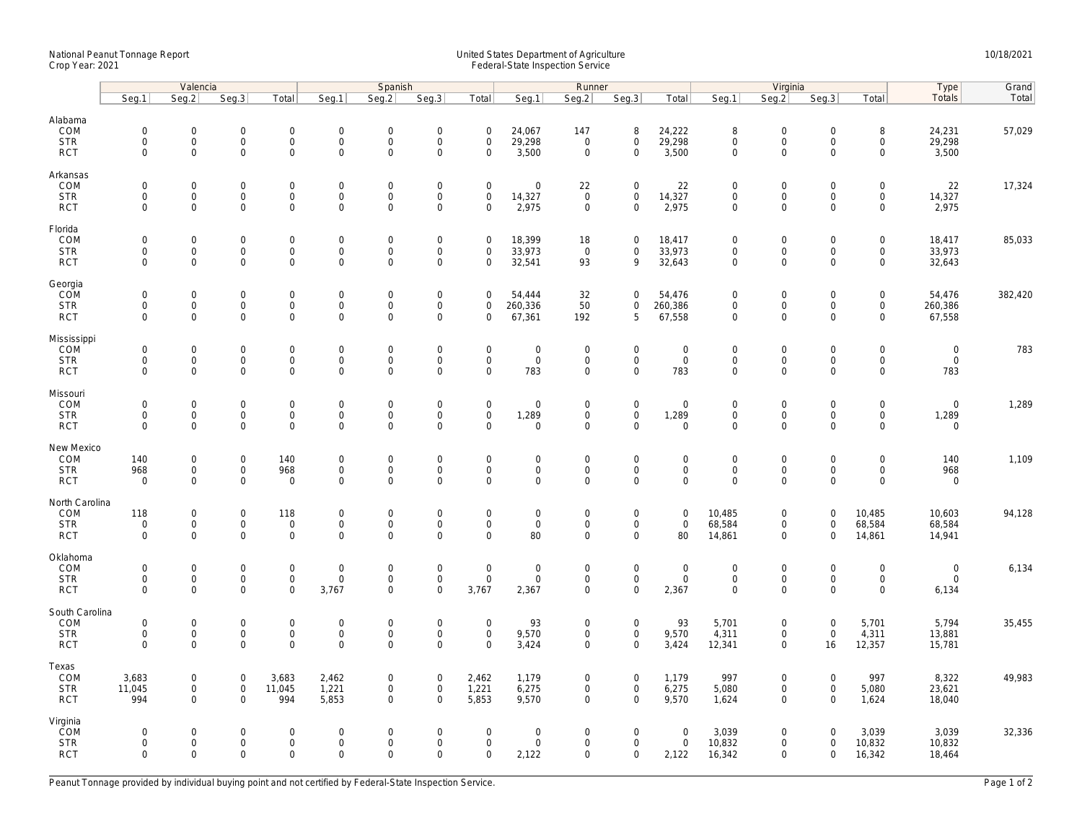## National Peanut Tonnage Report United States Department of Agriculture 10/18/2021<br>Crop Year: 2021 Federal-State Inspection Service

|                                                   | Valencia                                                  |                                          |                                                           |                                                   |                                                   | Spanish                                           |                                                                   |                                                           |                                | Runner                                            |                                                    |                                           |                                                   | Virginia                                                  | Type                                                      | Grand                                   |                                                   |         |
|---------------------------------------------------|-----------------------------------------------------------|------------------------------------------|-----------------------------------------------------------|---------------------------------------------------|---------------------------------------------------|---------------------------------------------------|-------------------------------------------------------------------|-----------------------------------------------------------|--------------------------------|---------------------------------------------------|----------------------------------------------------|-------------------------------------------|---------------------------------------------------|-----------------------------------------------------------|-----------------------------------------------------------|-----------------------------------------|---------------------------------------------------|---------|
|                                                   | Seg.1                                                     | Seq.2                                    | Seq.3                                                     | Total                                             | Seg.1                                             | Seq.2                                             | Seq.3                                                             | Total                                                     | Seg.1                          | Seg.2                                             | Seq.3                                              | Total                                     | Seq.1                                             | Seq.2                                                     | Seq.3                                                     | Total                                   | <b>Totals</b>                                     | Total   |
| Alabama<br>COM<br><b>STR</b><br><b>RCT</b>        | $\mathbf 0$<br>0<br>$\mathbf{0}$                          | $\mathbf{0}$<br>$\mathsf{O}\xspace$<br>0 | $\mathbf 0$<br>$\mathsf 0$<br>$\mathsf{O}\xspace$         | $\mathbf 0$<br>$\mathsf{O}\xspace$<br>$\mathbf 0$ | $\mathbf{0}$<br>$\boldsymbol{0}$<br>$\mathbf 0$   | $\mathbf 0$<br>$\mathsf{O}\xspace$<br>$\mathbf 0$ | $\mathbf 0$<br>$\mathsf{O}\xspace$<br>$\mathbf 0$                 | $\mathbf 0$<br>$\mathsf{O}\xspace$<br>$\mathbf 0$         | 24,067<br>29,298<br>3,500      | 147<br>$\mathsf 0$<br>$\mathbf 0$                 | 8<br>$\mathsf{O}\xspace$<br>$\mathbf 0$            | 24,222<br>29,298<br>3,500                 | 8<br>$\mathsf{O}\xspace$<br>$\mathbf 0$           | $\mathbf{0}$<br>$\mathsf{O}\xspace$<br>$\mathbf 0$        | $\mathbf 0$<br>$\mathbf 0$<br>$\Omega$                    | 8<br>0<br>0                             | 24,231<br>29,298<br>3,500                         | 57,029  |
| Arkansas<br>COM<br><b>STR</b><br><b>RCT</b>       | $\mathsf{O}\xspace$<br>$\mathbf 0$<br>$\mathbf 0$         | 0<br>0<br>$\overline{0}$                 | $\mathbf 0$<br>$\mathsf 0$<br>$\mathbf 0$                 | $\mathbf 0$<br>$\mathbf 0$<br>$\mathbf{0}$        | $\mathbf 0$<br>$\mathbf 0$<br>$\mathbf{0}$        | $\mathbf 0$<br>$\mathbf 0$<br>$\mathbf 0$         | $\mathbf 0$<br>$\mathsf{O}\xspace$<br>$\mathbf 0$                 | $\mathsf{O}\xspace$<br>$\mathsf 0$<br>$\mathbf 0$         | 0<br>14,327<br>2,975           | 22<br>$\mathsf 0$<br>$\mathsf 0$                  | $\mathsf 0$<br>$\mathsf{O}\xspace$<br>$\mathbf 0$  | 22<br>14,327<br>2,975                     | $\mathbf 0$<br>$\mathbf 0$<br>$\mathbf 0$         | $\mathsf 0$<br>$\mathsf{O}\xspace$<br>$\mathbf 0$         | $\mathsf{O}\xspace$<br>$\mathbf 0$<br>$\mathbf 0$         | 0<br>0<br>$\mathbf 0$                   | 22<br>14,327<br>2,975                             | 17,324  |
| Florida<br>COM<br><b>STR</b><br><b>RCT</b>        | $\mathsf{O}\xspace$<br>$\mathsf{O}\xspace$<br>$\mathbf 0$ | 0<br>0<br>0                              | $\overline{0}$<br>$\mathsf 0$<br>$\mathsf{O}\xspace$      | $\mathbf 0$<br>$\mathbf 0$<br>$\mathbf 0$         | $\mathbf 0$<br>$\mathbf 0$<br>$\mathsf{O}\xspace$ | $\mathbf 0$<br>$\mathsf{O}\xspace$<br>$\mathbf 0$ | $\mathsf{O}\xspace$<br>$\mathsf{O}\xspace$<br>$\mathsf{O}\xspace$ | $\mathsf{O}\xspace$<br>$\mathsf{O}\xspace$<br>$\mathbf 0$ | 18,399<br>33,973<br>32,541     | 18<br>$\mathsf 0$<br>93                           | $\mathbf 0$<br>$\mathbf 0$<br>9                    | 18,417<br>33,973<br>32,643                | $\mathbf 0$<br>$\mathsf{O}\xspace$<br>$\mathbf 0$ | $\mathbf 0$<br>$\mathsf{O}\xspace$<br>$\mathbf 0$         | $\mathsf{O}\xspace$<br>$\mathsf{O}\xspace$<br>$\mathbf 0$ | 0<br>0<br>$\mathsf{O}$                  | 18,417<br>33,973<br>32,643                        | 85,033  |
| Georgia<br>COM<br><b>STR</b><br><b>RCT</b>        | $\mathbf 0$<br>0<br>$\mathbf{0}$                          | 0<br>0<br>$\mathbf{0}$                   | $\mathbf 0$<br>$\mathsf{O}$<br>$\mathsf 0$                | $\mathbf 0$<br>$\mathbf 0$<br>$\mathbf{0}$        | $\mathbf 0$<br>$\boldsymbol{0}$<br>$\mathbf 0$    | $\mathbf 0$<br>$\mathbf 0$<br>$\mathbf 0$         | $\mathsf{O}\xspace$<br>$\mathsf{O}\xspace$<br>$\mathbf 0$         | $\mathbf 0$<br>$\mathbf 0$<br>$\mathbf 0$                 | 54,444<br>260,336<br>67,361    | 32<br>50<br>192                                   | $\mathbf 0$<br>$\mathbf 0$<br>5                    | 54,476<br>260,386<br>67,558               | $\mathbf 0$<br>$\mathbf 0$<br>$\mathbf 0$         | $\mathbf 0$<br>$\mathsf{O}\xspace$<br>$\mathbf 0$         | $\mathbf 0$<br>$\mathbf 0$<br>$\mathbf 0$                 | 0<br>0<br>$\mathbf 0$                   | 54,476<br>260,386<br>67,558                       | 382,420 |
| Mississippi<br>COM<br><b>STR</b><br><b>RCT</b>    | $\mathsf{O}\xspace$<br>0<br>$\mathbf{0}$                  | 0<br>0<br>0                              | $\mathsf 0$<br>$\mathsf{O}\xspace$<br>$\mathsf{O}$        | $\mathbf 0$<br>$\mathbf 0$<br>$\mathbf 0$         | $\mathbf 0$<br>$\mathbf 0$<br>$\mathbf 0$         | $\mathsf{O}\xspace$<br>$\mathbf 0$<br>$\mathbf 0$ | $\mathsf{O}\xspace$<br>$\mathsf{O}\xspace$<br>$\mathbf 0$         | $\mathsf{O}\xspace$<br>$\mathsf{O}\xspace$<br>$\mathbf 0$ | 0<br>$\mathbf 0$<br>783        | $\mathbf 0$<br>$\mathsf 0$<br>$\mathbf 0$         | $\mathsf 0$<br>$\mathbf 0$<br>$\mathbf 0$          | $\mathbf 0$<br>$\mathbf 0$<br>783         | $\mathbf 0$<br>$\mathbf 0$<br>$\mathbf 0$         | $\mathsf{O}\xspace$<br>$\mathsf{O}\xspace$<br>$\mathbf 0$ | $\mathsf{O}\xspace$<br>$\mathsf{O}\xspace$<br>$\mathbf 0$ | 0<br>0<br>$\mathbf 0$                   | $\mathsf{O}\xspace$<br>$\mathsf{O}\xspace$<br>783 | 783     |
| Missouri<br>COM<br><b>STR</b><br><b>RCT</b>       | $\mathsf{O}\xspace$<br>$\mathbf 0$<br>$\mathbf 0$         | 0<br>$\overline{0}$<br>0                 | $\mathsf 0$<br>$\mathsf{O}$<br>$\mathsf 0$                | $\mathbf 0$<br>$\mathbf{0}$<br>$\mathsf 0$        | $\mathbf 0$<br>$\mathbf 0$<br>$\mathbf 0$         | $\mathbf 0$<br>$\mathbf 0$<br>$\mathbf 0$         | $\mathsf{O}\xspace$<br>$\mathbf 0$<br>$\mathbf 0$                 | $\mathsf{O}\xspace$<br>$\mathbf 0$<br>$\mathbf 0$         | 0<br>1,289<br>0                | $\mathbf 0$<br>$\mathsf 0$<br>$\mathsf{O}\xspace$ | $\mathbf 0$<br>$\mathbf 0$<br>$\mathbf 0$          | $\mathbf 0$<br>1,289<br>$\mathbf 0$       | $\mathbf{0}$<br>$\mathbf 0$<br>$\mathbf 0$        | $\mathsf{O}\xspace$<br>$\mathsf{O}\xspace$<br>$\mathbf 0$ | $\mathsf{O}\xspace$<br>$\mathbf 0$<br>$\mathbf 0$         | 0<br>$\mathsf{O}\xspace$<br>0           | $\mathbf 0$<br>1,289<br>$\mathsf 0$               | 1,289   |
| New Mexico<br>COM<br><b>STR</b><br><b>RCT</b>     | 140<br>968<br>$\mathbf 0$                                 | 0<br>0<br>0                              | $\mathsf 0$<br>$\mathsf{O}\xspace$<br>$\mathsf{O}\xspace$ | 140<br>968<br>$\mathbf 0$                         | $\mathbf 0$<br>$\mathbf 0$<br>$\mathbf 0$         | $\mathbf 0$<br>$\mathbf 0$<br>$\Omega$            | $\mathbf 0$<br>$\mathsf{O}\xspace$<br>$\mathbf 0$                 | $\mathsf{O}\xspace$<br>$\mathbf 0$<br>$\Omega$            | 0<br>$\mathsf{O}\xspace$<br>0  | $\mathbf 0$<br>$\mathsf 0$<br>$\mathbf 0$         | $\mathsf 0$<br>$\mathbf 0$<br>$\mathbf 0$          | $\mathbf 0$<br>$\mathbf 0$<br>$\mathbf 0$ | $\mathbf 0$<br>$\mathbf 0$<br>$\Omega$            | $\mathbf 0$<br>$\mathsf{O}\xspace$<br>0                   | $\mathsf{O}\xspace$<br>$\mathbf 0$<br>$\Omega$            | 0<br>$\mathsf{O}\xspace$<br>0           | 140<br>968<br>$\mathbf 0$                         | 1,109   |
| North Carolina<br>COM<br><b>STR</b><br><b>RCT</b> | 118<br>$\mathsf{O}\xspace$<br>$\mathsf{O}\xspace$         | 0<br>0<br>0                              | $\mathsf 0$<br>$\mathsf{O}\xspace$<br>$\mathsf{O}\xspace$ | 118<br>$\mathbf 0$<br>$\mathsf{O}\xspace$         | $\boldsymbol{0}$<br>$\mathbf 0$<br>$\mathbf 0$    | $\mathbf 0$<br>$\mathbf 0$<br>$\Omega$            | $\mathsf{O}\xspace$<br>$\mathsf{O}\xspace$<br>$\mathsf{O}\xspace$ | $\mathsf{O}\xspace$<br>$\mathsf{O}\xspace$<br>$\Omega$    | 0<br>$\mathsf{O}\xspace$<br>80 | $\mathbf 0$<br>$\mathbf 0$<br>$\mathsf{O}\xspace$ | $\mathsf{O}$<br>$\mathbf 0$<br>$\mathbf 0$         | $\mathbf 0$<br>$\mathbf 0$<br>80          | 10,485<br>68,584<br>14,861                        | $\mathsf{O}\xspace$<br>$\mathsf 0$<br>$\mathsf 0$         | $\mathsf{O}\xspace$<br>$\mathbf 0$<br>$\Omega$            | 10,485<br>68,584<br>14,861              | 10,603<br>68,584<br>14,941                        | 94,128  |
| Oklahoma<br>COM<br><b>STR</b><br><b>RCT</b>       | $\mathbf 0$<br>$\mathbf 0$<br>$\Omega$                    | 0<br>$\mathsf{O}\xspace$<br>0            | $\mathbf 0$<br>$\mathsf{O}\xspace$<br>$\mathbf 0$         | $\mathbf 0$<br>$\mathbf 0$<br>$\mathbf 0$         | $\boldsymbol{0}$<br>$\mathbf{0}$<br>3.767         | $\mathbf 0$<br>$\mathbf 0$<br>$\Omega$            | $\mathbf 0$<br>$\mathsf{O}\xspace$<br>$\Omega$                    | $\mathsf{O}\xspace$<br>$\mathbf 0$<br>3,767               | 0<br>$\mathbf 0$<br>2,367      | $\mathbf 0$<br>$\mathsf 0$<br>$\mathbf 0$         | $\mathbf 0$<br>$\mathbf 0$<br>$\mathbf 0$          | $\boldsymbol{0}$<br>$\mathbf 0$<br>2,367  | $\mathbf 0$<br>$\mathbf 0$<br>$\Omega$            | $\mathbf 0$<br>$\mathsf{O}\xspace$<br>$\mathbf 0$         | $\mathbf 0$<br>$\mathbf 0$<br>$\Omega$                    | 0<br>$\mathsf{O}\xspace$<br>$\mathbf 0$ | $\mathbf 0$<br>$\mathbf 0$<br>6,134               | 6,134   |
| South Carolina<br>COM<br><b>STR</b><br><b>RCT</b> | $\mathsf{O}\xspace$<br>$\mathsf{O}\xspace$<br>$\Omega$    | 0<br>0<br>$\mathbf{0}$                   | $\mathbf 0$<br>$\mathsf{O}\xspace$<br>$\mathbf 0$         | $\mathsf{O}$<br>$\mathbf 0$<br>$\mathbf 0$        | $\boldsymbol{0}$<br>$\mathbf 0$<br>$\Omega$       | $\mathbf 0$<br>$\mathsf{O}\xspace$<br>$\Omega$    | $\mathsf{O}\xspace$<br>$\mathsf{O}\xspace$<br>$\Omega$            | $\mathsf{O}\xspace$<br>$\mathsf{O}\xspace$<br>$\Omega$    | 93<br>9,570<br>3,424           | $\boldsymbol{0}$<br>$\mathsf 0$<br>$\overline{0}$ | $\mathsf{O}$<br>$\mathbf 0$<br>$\mathbf{0}$        | 93<br>9,570<br>3,424                      | 5,701<br>4,311<br>12,341                          | $\mathsf{O}\xspace$<br>$\mathsf{O}\xspace$<br>$\mathbf 0$ | $\mathsf{O}\xspace$<br>$\mathbf 0$<br>16                  | 5,701<br>4,311<br>12,357                | 5,794<br>13,881<br>15,781                         | 35,455  |
| Texas<br>COM<br><b>STR</b><br><b>RCT</b>          | 3,683<br>11,045<br>994                                    | $\mathbf{0}$<br>0<br>0                   | $\mathsf{O}$<br>$\mathsf{O}$<br>$\mathbf 0$               | 3,683<br>11,045<br>994                            | 2,462<br>1,221<br>5,853                           | $\mathbf 0$<br>$\mathsf{O}\xspace$<br>$\mathbf 0$ | $\mathsf{O}\xspace$<br>$\mathsf{O}\xspace$<br>$\Omega$            | 2,462<br>1,221<br>5,853                                   | 1,179<br>6,275<br>9,570        | $\overline{0}$<br>$\mathsf 0$<br>$\overline{0}$   | $\mathbf 0$<br>$\mathsf{O}\xspace$<br>$\mathbf{0}$ | 1,179<br>6,275<br>9,570                   | 997<br>5,080<br>1,624                             | $\mathsf{O}\xspace$<br>$\mathsf{O}\xspace$<br>$\Omega$    | $\mathbf 0$<br>$\mathsf{O}\xspace$<br>$\Omega$            | 997<br>5,080<br>1,624                   | 8,322<br>23,621<br>18,040                         | 49,983  |
| Virginia<br>ČOM<br><b>STR</b><br><b>RCT</b>       | $\mathbf{0}$<br>0<br>$\mathbf 0$                          | $\mathbf{0}$<br>0<br>0                   | $\mathbf 0$<br>$\mathsf{O}$<br>$\mathbf 0$                | $\mathbf 0$<br>$\mathsf{O}\xspace$<br>$\mathbf 0$ | $\mathbf 0$<br>$\boldsymbol{0}$<br>$\mathbf{0}$   | $\mathbf 0$<br>$\mathbf 0$<br>$\mathbf 0$         | $\mathbf 0$<br>$\mathsf{O}\xspace$<br>$\mathbf 0$                 | $\mathbf 0$<br>$\mathsf{O}\xspace$<br>$\mathbf 0$         | 0<br>0<br>2,122                | $\mathbf 0$<br>$\mathsf 0$<br>$\mathbf 0$         | $\mathbf 0$<br>$\mathsf{O}\xspace$<br>$\mathbf 0$  | $\mathbf 0$<br>$\mathbf 0$<br>2,122       | 3,039<br>10,832<br>16,342                         | $\mathbf 0$<br>$\mathsf{O}\xspace$<br>$\Omega$            | $\Omega$<br>$\mathbf 0$<br>$\mathbf 0$                    | 3,039<br>10,832<br>16,342               | 3,039<br>10,832<br>18,464                         | 32,336  |

Peanut Tonnage provided by individual buying point and not certified by Federal-State Inspection Service. Page 1 of 2